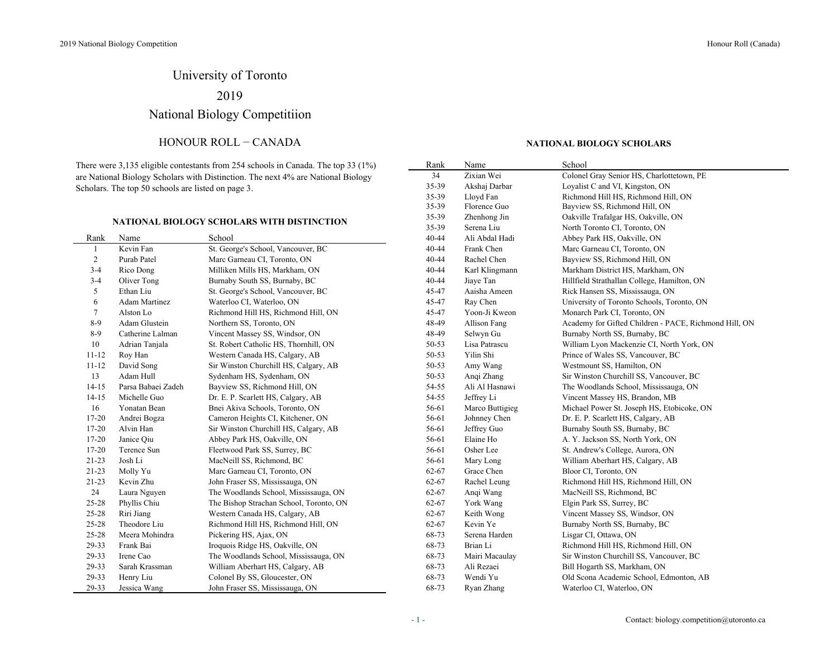## University of Toronto

## 2019

### National Biology Competitiion

### HONOUR ROLL − CANADA

There were 3,135 eligible contestants from 254 schools in Canada. The top 33 (1%) are National Biology Scholars with Distinction. The next 4% are National Biology Scholars. The top 50 schools are listed on page 3.

#### **NATIONAL BIOLOGY SCHOLARS WITH DISTINCTION**

| Rank           | Name                 | School                                  | 40-44 | Ali Abdal Hadi  | Abbey Park HS, Oakville, ON                           |
|----------------|----------------------|-----------------------------------------|-------|-----------------|-------------------------------------------------------|
|                | Kevin Fan            | St. George's School, Vancouver, BC      | 40-44 | Frank Chen      | Marc Garneau CI, Toronto, ON                          |
| $\overline{c}$ | Purab Patel          | Marc Garneau CI, Toronto, ON            | 40-44 | Rachel Chen     | Bayview SS, Richmond Hill, ON                         |
| $3 - 4$        | Rico Dong            | Milliken Mills HS, Markham, ON          | 40-44 | Karl Klingmann  | Markham District HS, Markham, ON                      |
| $3 - 4$        | Oliver Tong          | Burnaby South SS, Burnaby, BC           | 40-44 | Jiaye Tan       | Hillfield Strathallan College, Hamilton, ON           |
| 5              | Ethan Liu            | St. George's School, Vancouver, BC      | 45-47 | Aaisha Ameen    | Rick Hansen SS, Mississauga, ON                       |
| 6              | <b>Adam Martinez</b> | Waterloo CI, Waterloo, ON               | 45-47 | Ray Chen        | University of Toronto Schools, Toronto, ON            |
| 7              | Alston Lo            | Richmond Hill HS, Richmond Hill, ON     | 45-47 | Yoon-Ji Kweon   | Monarch Park CI, Toronto, ON                          |
| $8-9$          | Adam Glustein        | Northern SS, Toronto, ON                | 48-49 | Allison Fang    | Academy for Gifted Children - PACE, Richmond Hill, ON |
| $8-9$          | Catherine Lalman     | Vincent Massey SS, Windsor, ON          | 48-49 | Selwyn Gu       | Burnaby North SS, Burnaby, BC                         |
| 10             | Adrian Tanjala       | St. Robert Catholic HS, Thornhill, ON   | 50-53 | Lisa Patrascu   | William Lyon Mackenzie CI, North York, ON             |
| $11 - 12$      | Roy Han              | Western Canada HS, Calgary, AB          | 50-53 | Yilin Shi       | Prince of Wales SS, Vancouver, BC                     |
| $11 - 12$      | David Song           | Sir Winston Churchill HS, Calgary, AB   | 50-53 | Amy Wang        | Westmount SS, Hamilton, ON                            |
| 13             | Adam Hull            | Sydenham HS, Sydenham, ON               | 50-53 | Angi Zhang      | Sir Winston Churchill SS, Vancouver, BC               |
| $14 - 15$      | Parsa Babaei Zadeh   | Bayview SS, Richmond Hill, ON           | 54-55 | Ali Al Hasnawi  | The Woodlands School, Mississauga, ON                 |
| $14 - 15$      | Michelle Guo         | Dr. E. P. Scarlett HS, Calgary, AB      | 54-55 | Jeffrey Li      | Vincent Massey HS, Brandon, MB                        |
| 16             | Yonatan Bean         | Bnei Akiva Schools, Toronto, ON         | 56-61 | Marco Buttigieg | Michael Power St. Joseph HS, Etobicoke, ON            |
| $17 - 20$      | Andrei Bogza         | Cameron Heights CI, Kitchener, ON       | 56-61 | Johnney Chen    | Dr. E. P. Scarlett HS, Calgary, AB                    |
| 17-20          | Alvin Han            | Sir Winston Churchill HS, Calgary, AB   | 56-61 | Jeffrey Guo     | Burnaby South SS, Burnaby, BC                         |
| $17 - 20$      | Janice Qiu           | Abbey Park HS, Oakville, ON             | 56-61 | Elaine Ho       | A. Y. Jackson SS, North York, ON                      |
| $17 - 20$      | Terence Sun          | Fleetwood Park SS, Surrey, BC           | 56-61 | Osher Lee       | St. Andrew's College, Aurora, ON                      |
| $21 - 23$      | Josh Li              | MacNeill SS, Richmond, BC               | 56-61 | Mary Long       | William Aberhart HS, Calgary, AB                      |
| $21 - 23$      | Molly Yu             | Marc Garneau CI, Toronto, ON            | 62-67 | Grace Chen      | Bloor CI, Toronto, ON                                 |
| $21 - 23$      | Kevin Zhu            | John Fraser SS, Mississauga, ON         | 62-67 | Rachel Leung    | Richmond Hill HS, Richmond Hill, ON                   |
| 24             | Laura Nguyen         | The Woodlands School, Mississauga, ON   | 62-67 | Angi Wang       | MacNeill SS, Richmond, BC                             |
| $25 - 28$      | Phyllis Chiu         | The Bishop Strachan School, Toronto, ON | 62-67 | York Wang       | Elgin Park SS, Surrey, BC                             |
| $25 - 28$      | Riri Jiang           | Western Canada HS, Calgary, AB          | 62-67 | Keith Wong      | Vincent Massey SS, Windsor, ON                        |
| $25 - 28$      | Theodore Liu         | Richmond Hill HS, Richmond Hill, ON     | 62-67 | Kevin Ye        | Burnaby North SS, Burnaby, BC                         |
| $25 - 28$      | Meera Mohindra       | Pickering HS, Ajax, ON                  | 68-73 | Serena Harden   | Lisgar CI, Ottawa, ON                                 |
| 29-33          | Frank Bai            | Iroquois Ridge HS, Oakville, ON         | 68-73 | Brian Li        | Richmond Hill HS, Richmond Hill, ON                   |
| 29-33          | Irene Cao            | The Woodlands School, Mississauga, ON   | 68-73 | Mairi Macaulay  | Sir Winston Churchill SS, Vancouver, BC               |
| 29-33          | Sarah Krassman       | William Aberhart HS, Calgary, AB        | 68-73 | Ali Rezaei      | Bill Hogarth SS, Markham, ON                          |
| 29-33          | Henry Liu            | Colonel By SS, Gloucester, ON           | 68-73 | Wendi Yu        | Old Scona Academic School, Edmonton, AB               |
| 29-33          | Jessica Wang         | John Fraser SS, Mississauga, ON         | 68-73 | Ryan Zhang      | Waterloo CI, Waterloo, ON                             |

#### **NATIONAL BIOLOGY SCHOLARS**

| Rank      | Name            | School                                                |
|-----------|-----------------|-------------------------------------------------------|
| 34        | Zixian Wei      | Colonel Gray Senior HS, Charlottetown, PE             |
| 35-39     | Akshaj Darbar   | Loyalist C and VI, Kingston, ON                       |
| 35-39     | Lloyd Fan       | Richmond Hill HS, Richmond Hill, ON                   |
| 35-39     | Florence Guo    | Bayview SS, Richmond Hill, ON                         |
| 35-39     | Zhenhong Jin    | Oakville Trafalgar HS, Oakville, ON                   |
| 35-39     | Serena Liu      | North Toronto CI, Toronto, ON                         |
| 40-44     | Ali Abdal Hadi  | Abbey Park HS, Oakville, ON                           |
| 40-44     | Frank Chen      | Marc Garneau CI, Toronto, ON                          |
| 40-44     | Rachel Chen     | Bayview SS, Richmond Hill, ON                         |
| 40-44     | Karl Klingmann  | Markham District HS, Markham, ON                      |
| 40-44     | Jiaye Tan       | Hillfield Strathallan College, Hamilton, ON           |
| 45-47     | Aaisha Ameen    | Rick Hansen SS, Mississauga, ON                       |
| 45-47     | Ray Chen        | University of Toronto Schools, Toronto, ON            |
| 45-47     | Yoon-Ji Kweon   | Monarch Park CI, Toronto, ON                          |
| 48-49     | Allison Fang    | Academy for Gifted Children - PACE, Richmond Hill, ON |
| 48-49     | Selwyn Gu       | Burnaby North SS, Burnaby, BC                         |
| 50-53     | Lisa Patrascu   | William Lyon Mackenzie CI, North York, ON             |
| 50-53     | Yilin Shi       | Prince of Wales SS, Vancouver, BC                     |
| 50-53     | Amy Wang        | Westmount SS, Hamilton, ON                            |
| 50-53     | Angi Zhang      | Sir Winston Churchill SS, Vancouver, BC               |
| 54-55     | Ali Al Hasnawi  | The Woodlands School, Mississauga, ON                 |
| 54-55     | Jeffrey Li      | Vincent Massey HS, Brandon, MB                        |
| 56-61     | Marco Buttigieg | Michael Power St. Joseph HS, Etobicoke, ON            |
| 56-61     | Johnney Chen    | Dr. E. P. Scarlett HS, Calgary, AB                    |
| 56-61     | Jeffrey Guo     | Burnaby South SS, Burnaby, BC                         |
| 56-61     | Elaine Ho       | A. Y. Jackson SS, North York, ON                      |
| 56-61     | Osher Lee       | St. Andrew's College, Aurora, ON                      |
| 56-61     | Mary Long       | William Aberhart HS, Calgary, AB                      |
| 62-67     | Grace Chen      | Bloor CI, Toronto, ON                                 |
| 62-67     | Rachel Leung    | Richmond Hill HS, Richmond Hill, ON                   |
| 62-67     | Anqi Wang       | MacNeill SS, Richmond, BC                             |
| 62-67     | York Wang       | Elgin Park SS, Surrey, BC                             |
| $62 - 67$ | Keith Wong      | Vincent Massey SS, Windsor, ON                        |
| 62-67     | Kevin Ye        | Burnaby North SS, Burnaby, BC                         |
| 68-73     | Serena Harden   | Lisgar CI, Ottawa, ON                                 |
| 68-73     | Brian Li        | Richmond Hill HS, Richmond Hill, ON                   |
| 68-73     | Mairi Macaulay  | Sir Winston Churchill SS, Vancouver, BC               |
| 68-73     | Ali Rezaei      | Bill Hogarth SS, Markham, ON                          |
| 68-73     | Wendi Yu        | Old Scona Academic School, Edmonton, AB               |
| 68-73     | Ryan Zhang      | Waterloo CI, Waterloo, ON                             |

 $\overline{\phantom{a}}$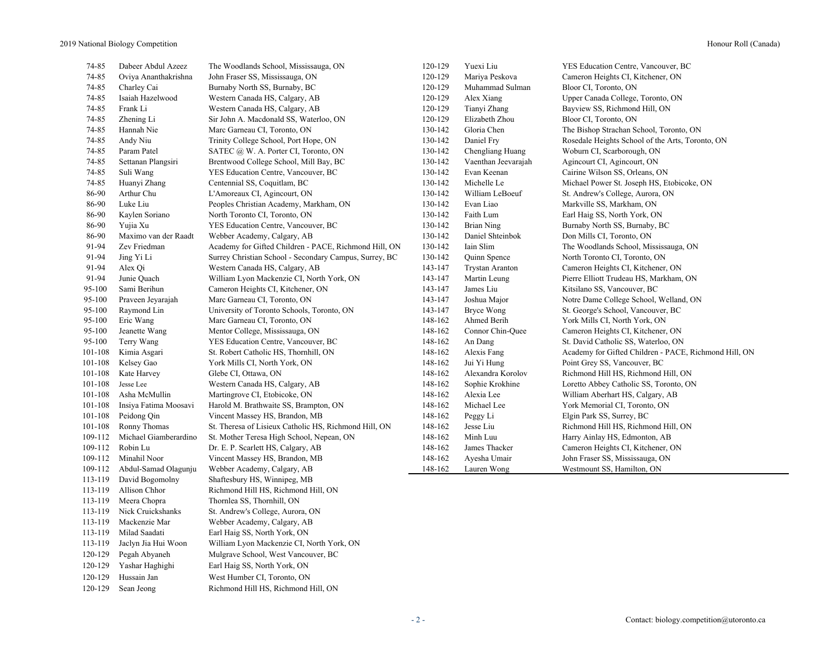### 2019 National Biology Competition Honour Roll (Canada) and Canada) Honour Roll (Canada)

120-129 Sean Jeong Richmond Hill HS, Richmond Hill, ON

| Dabeer Abdul Azeez            | The Woodlands School, Mississauga, ON                  | 120-129                                                                                         | Yuexi Liu              | YES Education Centre, Vancouver, BC                   |
|-------------------------------|--------------------------------------------------------|-------------------------------------------------------------------------------------------------|------------------------|-------------------------------------------------------|
| Oviya Ananthakrishna          | John Fraser SS, Mississauga, ON                        | 120-129                                                                                         | Mariya Peskova         | Cameron Heights CI, Kitchener, ON                     |
| Charley Cai                   | Burnaby North SS, Burnaby, BC                          | 120-129                                                                                         | Muhammad Sulman        | Bloor CI, Toronto, ON                                 |
| Isaiah Hazelwood              | Western Canada HS, Calgary, AB                         | 120-129                                                                                         | Alex Xiang             | Upper Canada College, Toronto, ON                     |
| Frank Li                      | Western Canada HS, Calgary, AB                         | 120-129                                                                                         | Tianyi Zhang           | Bayview SS, Richmond Hill, ON                         |
| Zhening Li                    | Sir John A. Macdonald SS, Waterloo, ON                 | 120-129                                                                                         | Elizabeth Zhou         | Bloor CI, Toronto, ON                                 |
| Hannah Nie                    | Marc Garneau CI, Toronto, ON                           | 130-142                                                                                         | Gloria Chen            | The Bishop Strachan School, Toronto, ON               |
| Andy Niu                      | Trinity College School, Port Hope, ON                  | 130-142                                                                                         | Daniel Fry             | Rosedale Heights School of the Arts, Toronto, ON      |
| Param Patel                   | SATEC @ W. A. Porter CI, Toronto, ON                   | 130-142                                                                                         | Chengliang Huang       | Woburn CI, Scarborough, ON                            |
| Settanan Plangsiri            | Brentwood College School, Mill Bay, BC                 | 130-142                                                                                         | Vaenthan Jeevarajah    | Agincourt CI, Agincourt, ON                           |
| Suli Wang                     | YES Education Centre, Vancouver, BC                    | 130-142                                                                                         | Evan Keenan            | Cairine Wilson SS, Orleans, ON                        |
| Huanyi Zhang                  | Centennial SS, Coquitlam, BC                           | 130-142                                                                                         | Michelle Le            | Michael Power St. Joseph HS, Etobicoke, ON            |
| Arthur Chu                    | L'Amoreaux CI, Agincourt, ON                           | 130-142                                                                                         | William LeBoeuf        | St. Andrew's College, Aurora, ON                      |
| Luke Liu                      | Peoples Christian Academy, Markham, ON                 | 130-142                                                                                         | Evan Liao              | Markville SS, Markham, ON                             |
| Kaylen Soriano                | North Toronto CI, Toronto, ON                          | 130-142                                                                                         | Faith Lum              | Earl Haig SS, North York, ON                          |
| Yujia Xu                      | YES Education Centre, Vancouver, BC                    | 130-142                                                                                         | Brian Ning             | Burnaby North SS, Burnaby, BC                         |
| Maximo van der Raadt          |                                                        | 130-142                                                                                         | Daniel Shteinbok       | Don Mills CI, Toronto, ON                             |
| Zev Friedman                  | Academy for Gifted Children - PACE, Richmond Hill, ON  | 130-142                                                                                         | Iain Slim              | The Woodlands School, Mississauga, ON                 |
| Jing Yi Li                    | Surrey Christian School - Secondary Campus, Surrey, BC | 130-142                                                                                         | Quinn Spence           | North Toronto CI, Toronto, ON                         |
| Alex Qi                       | Western Canada HS, Calgary, AB                         | 143-147                                                                                         | <b>Trystan Aranton</b> | Cameron Heights CI, Kitchener, ON                     |
| Junie Quach                   | William Lyon Mackenzie CI, North York, ON              | 143-147                                                                                         | Martin Leung           | Pierre Elliott Trudeau HS, Markham, ON                |
| Sami Berihun                  | Cameron Heights CI, Kitchener, ON                      | 143-147                                                                                         | James Liu              | Kitsilano SS, Vancouver, BC                           |
| Praveen Jeyarajah             | Marc Garneau CI, Toronto, ON                           | 143-147                                                                                         | Joshua Major           | Notre Dame College School, Welland, ON                |
| Raymond Lin                   | University of Toronto Schools, Toronto, ON             | 143-147                                                                                         | Bryce Wong             | St. George's School, Vancouver, BC                    |
| Eric Wang                     | Marc Garneau CI, Toronto, ON                           | 148-162                                                                                         | Ahmed Berih            | York Mills CI, North York, ON                         |
| Jeanette Wang                 |                                                        | 148-162                                                                                         | Connor Chin-Quee       | Cameron Heights CI, Kitchener, ON                     |
| Terry Wang                    | YES Education Centre, Vancouver, BC                    | 148-162                                                                                         | An Dang                | St. David Catholic SS, Waterloo, ON                   |
|                               | St. Robert Catholic HS, Thornhill, ON                  | 148-162                                                                                         | Alexis Fang            | Academy for Gifted Children - PACE, Richmond Hill, ON |
| Kelsey Gao                    | York Mills CI, North York, ON                          | 148-162                                                                                         | Jui Yi Hung            | Point Grey SS, Vancouver, BC                          |
| Kate Harvey                   | Glebe CI, Ottawa, ON                                   | 148-162                                                                                         | Alexandra Korolov      | Richmond Hill HS, Richmond Hill, ON                   |
| Jesse Lee                     | Western Canada HS, Calgary, AB                         | 148-162                                                                                         |                        | Loretto Abbey Catholic SS, Toronto, ON                |
| Asha McMullin                 |                                                        | 148-162                                                                                         | Alexia Lee             | William Aberhart HS, Calgary, AB                      |
| Insiya Fatima Moosavi         | Harold M. Brathwaite SS, Brampton, ON                  | 148-162                                                                                         | Michael Lee            | York Memorial CI, Toronto, ON                         |
| Peidong Qin                   | Vincent Massey HS, Brandon, MB                         | 148-162                                                                                         | Peggy Li               | Elgin Park SS, Surrey, BC                             |
| Ronny Thomas                  | St. Theresa of Lisieux Catholic HS, Richmond Hill, ON  | 148-162                                                                                         | Jesse Liu              | Richmond Hill HS, Richmond Hill, ON                   |
| Michael Giamberardino         | St. Mother Teresa High School, Nepean, ON              | 148-162                                                                                         | Minh Luu               | Harry Ainlay HS, Edmonton, AB                         |
| Robin Lu                      | Dr. E. P. Scarlett HS, Calgary, AB                     | 148-162                                                                                         | James Thacker          | Cameron Heights CI, Kitchener, ON                     |
| Minahil Noor                  | Vincent Massey HS, Brandon, MB                         | 148-162                                                                                         | Ayesha Umair           | John Fraser SS, Mississauga, ON                       |
| Abdul-Samad Olagunju          | Webber Academy, Calgary, AB                            | 148-162                                                                                         | Lauren Wong            | Westmount SS, Hamilton, ON                            |
| David Bogomolny               | Shaftesbury HS, Winnipeg, MB                           |                                                                                                 |                        |                                                       |
| Allison Chhor                 | Richmond Hill HS, Richmond Hill, ON                    |                                                                                                 |                        |                                                       |
| Meera Chopra                  | Thornlea SS, Thornhill, ON                             |                                                                                                 |                        |                                                       |
| Nick Cruickshanks             | St. Andrew's College, Aurora, ON                       |                                                                                                 |                        |                                                       |
| Mackenzie Mar                 | Webber Academy, Calgary, AB                            |                                                                                                 |                        |                                                       |
| Milad Saadati                 | Earl Haig SS, North York, ON                           |                                                                                                 |                        |                                                       |
| Jaclyn Jia Hui Woon           | William Lyon Mackenzie CI, North York, ON              |                                                                                                 |                        |                                                       |
| Pegah Abyaneh                 | Mulgrave School, West Vancouver, BC                    |                                                                                                 |                        |                                                       |
| Yashar Haghighi               | Earl Haig SS, North York, ON                           |                                                                                                 |                        |                                                       |
| Hussain Jan                   | West Humber CI, Toronto, ON                            |                                                                                                 |                        |                                                       |
| 109-112<br>120-129<br>120-129 | Kimia Asgari                                           | Webber Academy, Calgary, AB<br>Mentor College, Mississauga, ON<br>Martingrove CI, Etobicoke, ON |                        | Sophie Krokhine                                       |